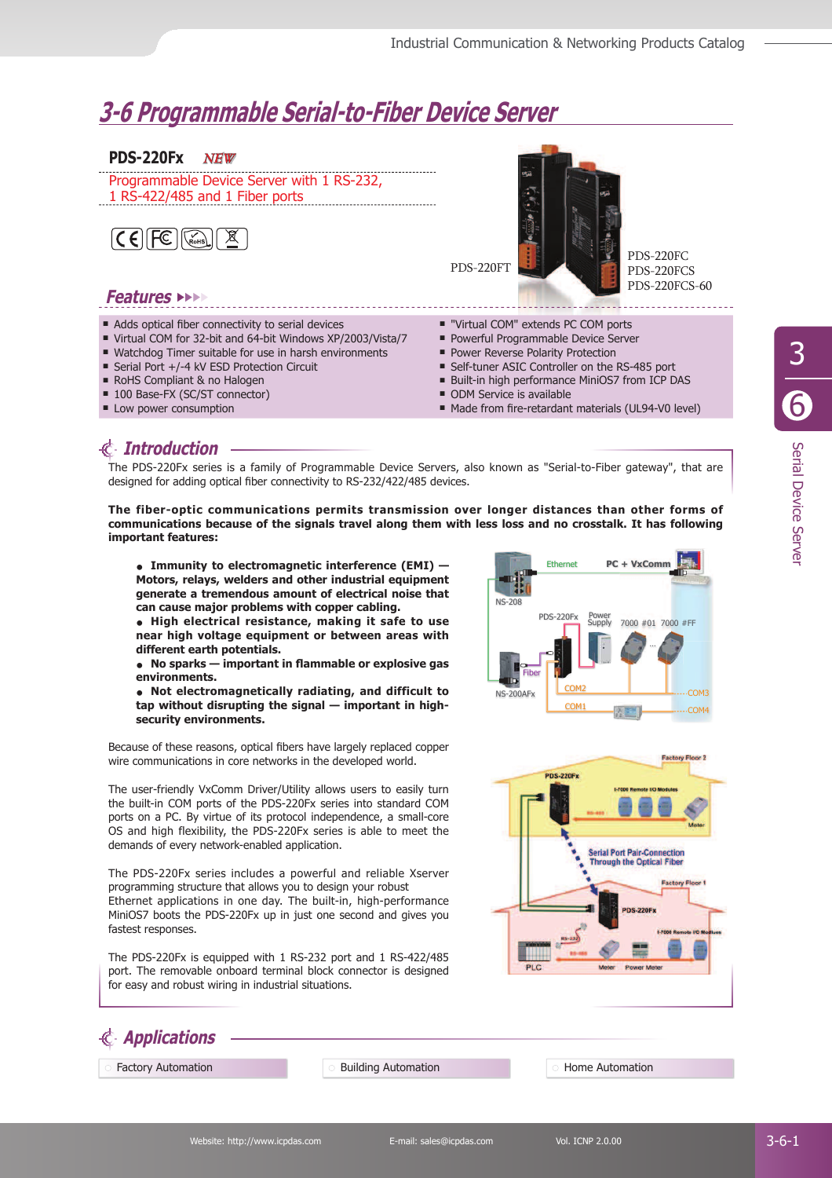# **3-6 Programmable Serial-to-Fiber Device Server**

#### **PDS-220Fx** NEW

Programmable Device Server with 1 RS-232, 1 RS-422/485 and 1 Fiber ports



### **Features**

- $\blacksquare$  Adds optical fiber connectivity to serial devices
- Virtual COM for 32-bit and 64-bit Windows XP/2003/Vista/7
- Watchdog Timer suitable for use in harsh environments
- Serial Port +/-4 kV ESD Protection Circuit
- RoHS Compliant & no Halogen
- 100 Base-FX (SC/ST connector)
- **Low power consumption**
- "Virtual COM" extends PC COM ports
- **Powerful Programmable Device Server**
- **Power Reverse Polarity Protection**
- Self-tuner ASIC Controller on the RS-485 port
- Built-in high performance MiniOS7 from ICP DAS

PDS-220FC PDS-220FCS PDS-220FCS-60

ODM Service is available

PDS-220FT

Made from fire-retardant materials (UL94-V0 level)

## **Introduction**

**Applications**

The PDS-220Fx series is a family of Programmable Device Servers, also known as "Serial-to-Fiber gateway", that are designed for adding optical fiber connectivity to RS-232/422/485 devices.

**The fiber-optic communications permits transmission over longer distances than other forms of communications because of the signals travel along them with less loss and no crosstalk. It has following important features:**

**• Immunity to electromagnetic interference (EMI) — Motors, relays, welders and other industrial equipment generate a tremendous amount of electrical noise that can cause major problems with copper cabling.**

**• High electrical resistance, making it safe to use near high voltage equipment or between areas with different earth potentials.** 

**• No sparks — important in fl ammable or explosive gas environments.** 

**• Not electromagnetically radiating, and difficult to tap without disrupting the signal — important in highsecurity environments.**

Because of these reasons, optical fibers have largely replaced copper wire communications in core networks in the developed world.

The user-friendly VxComm Driver/Utility allows users to easily turn the built-in COM ports of the PDS-220Fx series into standard COM ports on a PC. By virtue of its protocol independence, a small-core OS and high flexibility, the PDS-220Fx series is able to meet the demands of every network-enabled application.

The PDS-220Fx series includes a powerful and reliable Xserver programming structure that allows you to design your robust Ethernet applications in one day. The built-in, high-performance MiniOS7 boots the PDS-220Fx up in just one second and gives you fastest responses.

The PDS-220Fx is equipped with 1 RS-232 port and 1 RS-422/485 port. The removable onboard terminal block connector is designed for easy and robust wiring in industrial situations.





Factory Automation **Building Automation** Building Automation **Home Automation**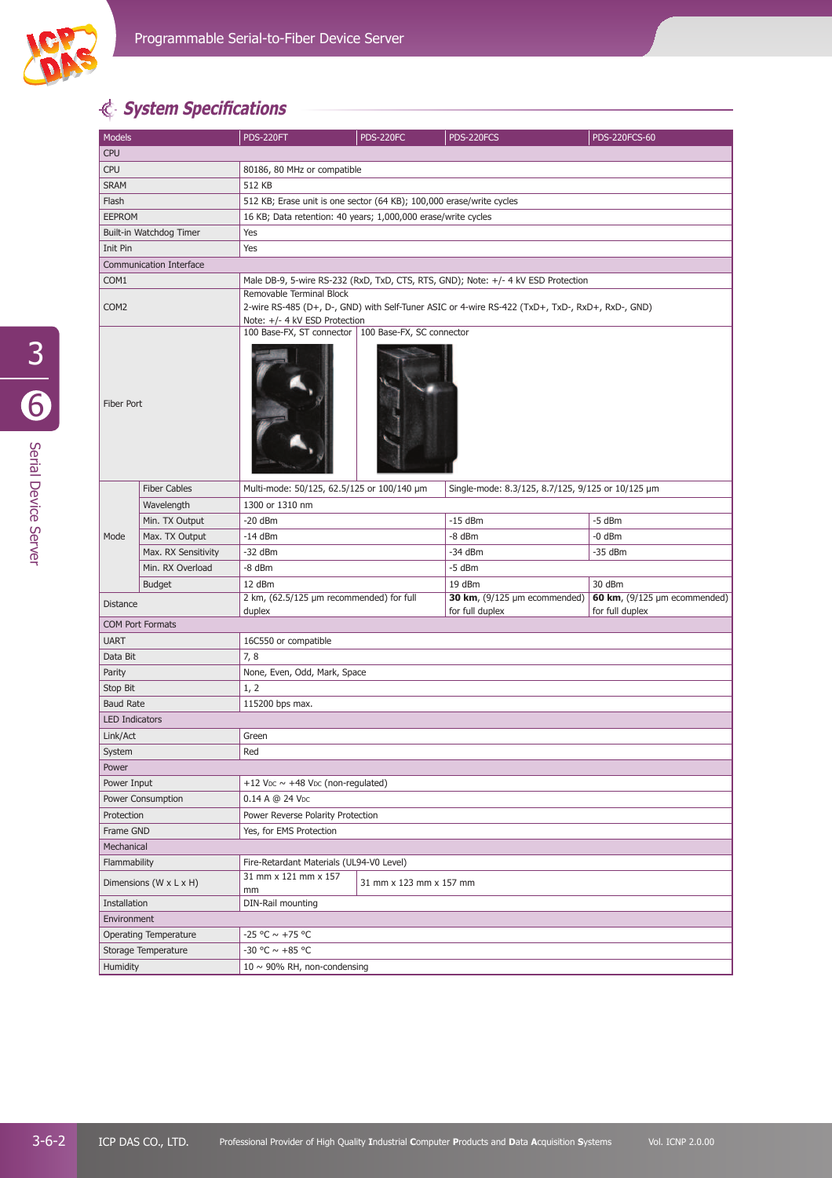

## **System Specifi cations**

| Models                       |                     | <b>PDS-220FT</b>                                                                                                                                             | <b>PDS-220FC</b> | PDS-220FCS                        | <b>PDS-220FCS-60</b>              |  |  |
|------------------------------|---------------------|--------------------------------------------------------------------------------------------------------------------------------------------------------------|------------------|-----------------------------------|-----------------------------------|--|--|
| <b>CPU</b>                   |                     |                                                                                                                                                              |                  |                                   |                                   |  |  |
| <b>CPU</b>                   |                     | 80186, 80 MHz or compatible                                                                                                                                  |                  |                                   |                                   |  |  |
| <b>SRAM</b>                  |                     | 512 KB                                                                                                                                                       |                  |                                   |                                   |  |  |
| Flash                        |                     | 512 KB; Erase unit is one sector (64 KB); 100,000 erase/write cycles                                                                                         |                  |                                   |                                   |  |  |
| <b>EEPROM</b>                |                     | 16 KB; Data retention: 40 years; 1,000,000 erase/write cycles                                                                                                |                  |                                   |                                   |  |  |
| Built-in Watchdog Timer      |                     | Yes                                                                                                                                                          |                  |                                   |                                   |  |  |
| Init Pin                     |                     | Yes                                                                                                                                                          |                  |                                   |                                   |  |  |
| Communication Interface      |                     |                                                                                                                                                              |                  |                                   |                                   |  |  |
| COM1                         |                     | Male DB-9, 5-wire RS-232 (RxD, TxD, CTS, RTS, GND); Note: +/- 4 kV ESD Protection                                                                            |                  |                                   |                                   |  |  |
| COM <sub>2</sub>             |                     | Removable Terminal Block<br>2-wire RS-485 (D+, D-, GND) with Self-Tuner ASIC or 4-wire RS-422 (TxD+, TxD-, RxD+, RxD-, GND)<br>Note: +/- 4 kV ESD Protection |                  |                                   |                                   |  |  |
| Fiber Port                   |                     | 100 Base-FX, ST connector   100 Base-FX, SC connector                                                                                                        |                  |                                   |                                   |  |  |
|                              | <b>Fiber Cables</b> | Multi-mode: 50/125, 62.5/125 or 100/140 µm<br>Single-mode: 8.3/125, 8.7/125, 9/125 or 10/125 µm                                                              |                  |                                   |                                   |  |  |
|                              | Wavelength          | 1300 or 1310 nm                                                                                                                                              |                  |                                   |                                   |  |  |
|                              | Min. TX Output      | $-20$ dBm                                                                                                                                                    |                  | $-15$ dBm                         | -5 dBm                            |  |  |
| Mode                         | Max. TX Output      | $-14$ dBm                                                                                                                                                    |                  | -8 dBm                            | -0 dBm                            |  |  |
|                              | Max. RX Sensitivity | $-32$ dBm                                                                                                                                                    |                  | $-34$ dBm                         | -35 dBm                           |  |  |
|                              | Min. RX Overload    | -8 dBm                                                                                                                                                       |                  | -5 dBm                            |                                   |  |  |
|                              | <b>Budget</b>       | 12 dBm                                                                                                                                                       |                  | 19 dBm                            | 30 dBm                            |  |  |
| <b>Distance</b>              |                     | 2 km, (62.5/125 µm recommended) for full                                                                                                                     |                  | 30 km, $(9/125 \mu m$ ecommended) | 60 km, $(9/125 \mu m$ ecommended) |  |  |
|                              |                     | duplex                                                                                                                                                       |                  | for full duplex                   | for full duplex                   |  |  |
| <b>COM Port Formats</b>      |                     |                                                                                                                                                              |                  |                                   |                                   |  |  |
| <b>UART</b>                  |                     | 16C550 or compatible                                                                                                                                         |                  |                                   |                                   |  |  |
| Data Bit<br>Parity           |                     | 7,8<br>None, Even, Odd, Mark, Space                                                                                                                          |                  |                                   |                                   |  |  |
| Stop Bit                     |                     | 1, 2                                                                                                                                                         |                  |                                   |                                   |  |  |
| <b>Baud Rate</b>             |                     | 115200 bps max.                                                                                                                                              |                  |                                   |                                   |  |  |
| <b>LED Indicators</b>        |                     |                                                                                                                                                              |                  |                                   |                                   |  |  |
| Link/Act                     |                     | Green                                                                                                                                                        |                  |                                   |                                   |  |  |
| System                       |                     | Red                                                                                                                                                          |                  |                                   |                                   |  |  |
| Power                        |                     |                                                                                                                                                              |                  |                                   |                                   |  |  |
| Power Input                  |                     | +12 V <sub>DC</sub> $\sim$ +48 V <sub>DC</sub> (non-regulated)                                                                                               |                  |                                   |                                   |  |  |
| Power Consumption            |                     | 0.14 A @ 24 Vpc                                                                                                                                              |                  |                                   |                                   |  |  |
| Protection                   |                     | Power Reverse Polarity Protection                                                                                                                            |                  |                                   |                                   |  |  |
| Frame GND                    |                     | Yes, for EMS Protection                                                                                                                                      |                  |                                   |                                   |  |  |
| Mechanical                   |                     |                                                                                                                                                              |                  |                                   |                                   |  |  |
| Flammability                 |                     | Fire-Retardant Materials (UL94-V0 Level)                                                                                                                     |                  |                                   |                                   |  |  |
| Dimensions (W x L x H)       |                     | 31 mm x 121 mm x 157<br>31 mm x 123 mm x 157 mm<br>mm                                                                                                        |                  |                                   |                                   |  |  |
| Installation                 |                     | DIN-Rail mounting                                                                                                                                            |                  |                                   |                                   |  |  |
| Environment                  |                     |                                                                                                                                                              |                  |                                   |                                   |  |  |
| <b>Operating Temperature</b> |                     | $-25$ °C $\sim$ +75 °C                                                                                                                                       |                  |                                   |                                   |  |  |
| Storage Temperature          |                     | -30 °C $\sim$ +85 °C                                                                                                                                         |                  |                                   |                                   |  |  |
| Humidity                     |                     | $10 \sim 90\%$ RH, non-condensing                                                                                                                            |                  |                                   |                                   |  |  |